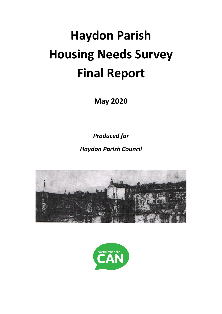# **Haydon Parish Housing Needs Survey Final Report**

**May 2020**

*Produced for*

*Haydon Parish Council*



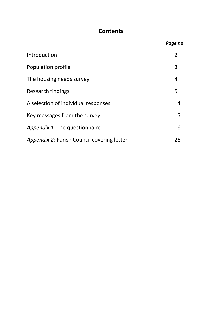# **Contents**

|                                            | Page no.       |
|--------------------------------------------|----------------|
| Introduction                               | $\overline{2}$ |
| Population profile                         | 3              |
| The housing needs survey                   | $\overline{4}$ |
| Research findings                          | 5              |
| A selection of individual responses        | 14             |
| Key messages from the survey               | 15             |
| Appendix 1: The questionnaire              | 16             |
| Appendix 2: Parish Council covering letter | 26             |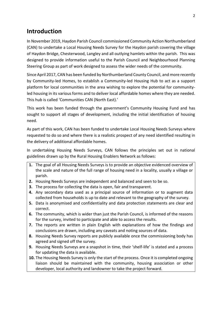# **Introduction**

In November 2019, Haydon Parish Council commissioned Community Action Northumberland (CAN) to undertake a Local Housing Needs Survey for the Haydon parish covering the village of Haydon Bridge, Chesterwood, Langley and all outlying hamlets within the parish. This was designed to provide information useful to the Parish Council and Neighbourhood Planning Steering Group as part of work designed to assess the wider needs of the community.

Since April 2017, CAN has been funded by Northumberland County Council, and more recently by Community-led Homes, to establish a Community-led Housing Hub to act as a support platform for local communities in the area wishing to explore the potential for communityled housing in its various forms and to deliver local affordable homes where they are needed. This hub is called 'Communities CAN (North East).'

This work has been funded through the government's Community Housing Fund and has sought to support all stages of development, including the initial identification of housing need.

As part of this work, CAN has been funded to undertake Local Housing Needs Surveys where requested to do so and where there is a realistic prospect of any need identified resulting in the delivery of additional affordable homes.

In undertaking Housing Needs Surveys, CAN follows the principles set out in national guidelines drawn up by the Rural Housing Enablers Network as follows:

- **1.** The goal of all Housing Needs Surveys is to provide an objective evidenced overview of the scale and nature of the full range of housing need in a locality, usually a village or parish.
- **2.** Housing Needs Surveys are independent and balanced and seen to be so.
- **3.** The process for collecting the data is open, fair and transparent.
- **4.** Any secondary data used as a principal source of information or to augment data collected from households is up to date and relevant to the geography of the survey.
- **5.** Data is anonymised and confidentiality and data protection statements are clear and correct.
- **6.** The community, which is wider than just the Parish Council, is informed of the reasons for the survey, invited to participate and able to access the results.
- **7.** The reports are written in plain English with explanations of how the findings and conclusions are drawn, including any caveats and noting sources of data.
- **8.** Housing Needs Survey reports are publicly available once the commissioning body has agreed and signed off the survey.
- **9.** Housing Needs Surveys are a snapshot in time, their 'shelf-life' is stated and a process for updating the data is available.
- **10.** The Housing Needs Survey is only the start of the process. Once it is completed ongoing liaison should be maintained with the community, housing association or other developer, local authority and landowner to take the project forward.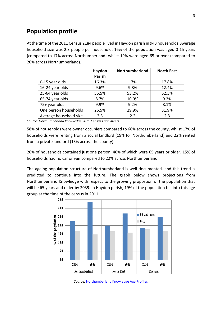# **Population profile**

At the time of the 2011 Census 2184 people lived in Haydon parish in 943 households. Average household size was 2.3 people per household. 16% of the population was aged 0-15 years (compared to 17% across Northumberland) whilst 19% were aged 65 or over (compared to 20% across Northumberland).

|                        | Haydon<br><b>Parish</b> | Northumberland | <b>North East</b> |
|------------------------|-------------------------|----------------|-------------------|
| 0-15 year olds         | 16.3%                   | 17%            | 17.8%             |
| 16-24 year olds        | 9.6%                    | 9.8%           | 12.4%             |
| 25-64 year olds        | 55.5%                   | 53.2%          | 52.5%             |
| 65-74 year olds        | 8.7%                    | 10.9%          | 9.2%              |
| 75+ year olds          | 9.9%                    | 9.2%           | 8.1%              |
| One person households  | 26.5%                   | 29.9%          | 31.9%             |
| Average household size | 2.3                     | 2.2            | 2.3               |

*Source: Northumberland Knowledge 2011 Census Fact Sheets*

58% of households were owner occupiers compared to 66% across the county, whilst 17% of households were renting from a social landlord (19% for Northumberland) and 22% rented from a private landlord (13% across the county).

26% of households contained just one person, 46% of which were 65 years or older. 15% of households had no car or van compared to 22% across Northumberland.

The ageing population structure of Northumberland is well documented, and this trend is predicted to continue into the future. The graph below shows projections from Northumberland Knowledge with respect to the growing proportion of the population that will be 65 years and older by 2039. In Haydon parish, 19% of the population fell into this age group at the time of the census in 2011.



*Source:* [Northumberland Knowledge Age Profiles](http://www.northumberland.gov.uk/Northumberland-Knowledge-and-JSNA/Our-People/People.aspx)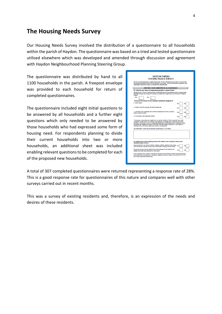## **The Housing Needs Survey**

Our Housing Needs Survey involved the distribution of a questionnaire to all households within the parish of Haydon. The questionnaire was based on a tried and tested questionnaire utilised elsewhere which was developed and amended through discussion and agreement with Haydon Neighbourhood Planning Steering Group.

The questionnaire was distributed by hand to all 1100 households in the parish. A freepost envelope was provided to each household for return of completed questionnaires.

The questionnaire included eight initial questions to be answered by all households and a further eight questions which only needed to be answered by those households who had expressed some form of housing need. For respondents planning to divide their current households into two or more households, an additional sheet was included enabling relevant questions to be completed for each of the proposed new households.

| <b>HOUSING NEEDS SURVEY</b>                                                                                                                                                                                                                                                                                                                                                                                                                           |     |
|-------------------------------------------------------------------------------------------------------------------------------------------------------------------------------------------------------------------------------------------------------------------------------------------------------------------------------------------------------------------------------------------------------------------------------------------------------|-----|
| We are currently preparing a neighbourhood plan and are interested in your views on the principle<br>of providing affordable homes for local people in your parish. We would therefore be grateful if you<br>could take a little time to help us by filling in this questionnaire.                                                                                                                                                                    |     |
| PART ONE - TO BE COMPLETED BY ALL HOUSEHOLDS                                                                                                                                                                                                                                                                                                                                                                                                          |     |
| Q1. What are your views on housing developments in Haydon Parish?                                                                                                                                                                                                                                                                                                                                                                                     |     |
| Would you be in favour of developments of affordable homes that address proven housing needs.<br>identified through this survey with a priority for people with a genuine local connection to Haydon<br>Parish?                                                                                                                                                                                                                                       |     |
| <b>Yes</b><br>No                                                                                                                                                                                                                                                                                                                                                                                                                                      |     |
| Would you be in favour of such housing if specifically designed for:                                                                                                                                                                                                                                                                                                                                                                                  |     |
| a. Older people                                                                                                                                                                                                                                                                                                                                                                                                                                       |     |
| b. Starter homes for younger and other households                                                                                                                                                                                                                                                                                                                                                                                                     |     |
| c. Live-work units (properties that combine workplace and home, but with a<br>distinct space for each)                                                                                                                                                                                                                                                                                                                                                |     |
| d. Co-housing ("see description below)                                                                                                                                                                                                                                                                                                                                                                                                                | Yes |
| *Cohousing communities are created and run by their residents. Each household has a self-<br>contained, private home but residents come together to manage their community and share<br>activities. Cohousing is a way of combating the allenation and isolation many experience today,<br>recreating the neighbourly support of the past. This can happen anywhere, in your street or<br>starting a new community using empty homes or building new. |     |
| Any comments (These may be included, anonymously, in our report):                                                                                                                                                                                                                                                                                                                                                                                     |     |
|                                                                                                                                                                                                                                                                                                                                                                                                                                                       |     |
|                                                                                                                                                                                                                                                                                                                                                                                                                                                       |     |
| Q2. Please tell us about anyone you know who needs to live in Haydon Parish but is<br>currently unable to do so.                                                                                                                                                                                                                                                                                                                                      | Yes |
|                                                                                                                                                                                                                                                                                                                                                                                                                                                       |     |
| Has anyone from your family (children, parents, brothers, sisters) moved away<br>from the Parish in the last 5 years due to difficulties in finding a home locally?<br>Do you know of any former residents who are employed in the area but live<br>outside the Parish who would like to move back?                                                                                                                                                   | Yes |

A total of 307 completed questionnaires were returned representing a response rate of 28%. This is a good response rate for questionnaires of this nature and compares well with other surveys carried out in recent months.

This was a survey of existing residents and, therefore, is an expression of the needs and desires of these residents.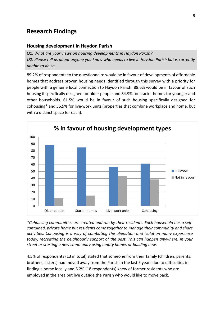# **Research Findings**

#### **Housing development in Haydon Parish**

*Q1: What are your views on housing developments in Haydon Parish? Q2: Please tell us about anyone you know who needs to live in Haydon Parish but is currently unable to do so.*

89.2% of respondents to the questionnaire would be in favour of developments of affordable homes that address proven housing needs identified through this survey with a priority for people with a genuine local connection to Haydon Parish. 88.6% would be in favour of such housing if specifically designed for older people and 84.9% for starter homes for younger and other households. 61.5% would be in favour of such housing specifically designed for cohousing\* and 56.9% for live-work units (properties that combine workplace and home, but with a distinct space for each).



*\*Cohousing communities are created and run by their residents. Each household has a selfcontained, private home but residents come together to manage their community and share activities. Cohousing is a way of combating the alienation and isolation many experience today, recreating the neighbourly support of the past. This can happen anywhere, in your street or starting a new community using empty homes or building new.*

4.5% of respondents (13 in total) stated that someone from their family (children, parents, brothers, sisters) had moved away from the Parish in the last 5 years due to difficulties in finding a home locally and 6.2% (18 respondents) knew of former residents who are employed in the area but live outside the Parish who would like to move back.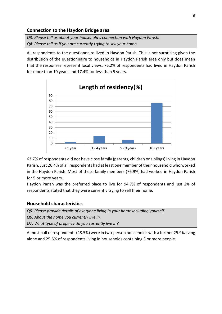#### **Connection to the Haydon Bridge area**

*Q3: Please tell us about your household's connection with Haydon Parish. Q4: Please tell us if you are currently trying to sell your home.*

All respondents to the questionnaire lived in Haydon Parish. This is not surprising given the distribution of the questionnaire to households in Haydon Parish area only but does mean that the responses represent local views. 76.2% of respondents had lived in Haydon Parish for more than 10 years and 17.4% for less than 5 years.



63.7% of respondents did not have close family (parents, children or siblings) living in Haydon Parish. Just 26.4% of all respondents had at least one member of their household who worked in the Haydon Parish. Most of these family members (76.9%) had worked in Haydon Parish for 5 or more years.

Haydon Parish was the preferred place to live for 94.7% of respondents and just 2% of respondents stated that they were currently trying to sell their home.

#### **Household characteristics**

*Q5: Please provide details of everyone living in your home including yourself. Q6: About the home you currently live in. Q7: What type of property do you currently live in?*

Almost half of respondents (48.5%) were in two-person households with a further 25.9% living alone and 25.6% of respondents living in households containing 3 or more people.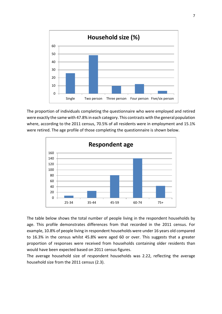

The proportion of individuals completing the questionnaire who were employed and retired were exactly the same with 47.8% in each category. This contrasts with the general population where, according to the 2011 census, 70.5% of all residents were in employment and 15.1% were retired. The age profile of those completing the questionnaire is shown below.



The table below shows the total number of people living in the respondent households by age. This profile demonstrates differences from that recorded in the 2011 census. For example, 10.8% of people living in respondent households were under 16 years old compared to 16.3% in the census whilst 45.8% were aged 60 or over. This suggests that a greater proportion of responses were received from households containing older residents than would have been expected based on 2011 census figures.

The average household size of respondent households was 2.22, reflecting the average household size from the 2011 census (2.3).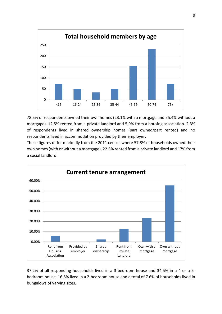

78.5% of respondents owned their own homes (23.1% with a mortgage and 55.4% without a mortgage). 12.5% rented from a private landlord and 5.9% from a housing association. 2.3% of respondents lived in shared ownership homes (part owned/part rented) and no respondents lived in accommodation provided by their employer.

These figures differ markedly from the 2011 census where 57.8% of households owned their own homes (with or without a mortgage), 22.5% rented from a private landlord and 17% from a social landlord.



37.2% of all responding households lived in a 3-bedroom house and 34.5% in a 4 or a 5 bedroom house. 16.8% lived in a 2-bedroom house and a total of 7.6% of households lived in bungalows of varying sizes.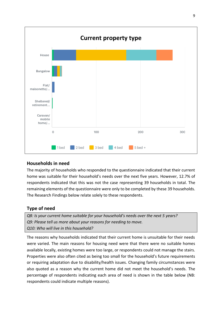

#### **Households in need**

The majority of households who responded to the questionnaire indicated that their current home was suitable for their household's needs over the next five years. However, 12.7% of respondents indicated that this was not the case representing 39 households in total. The remaining elements of the questionnaire were only to be completed by these 39 households. The Research Findings below relate solely to these respondents.

### **Type of need**

*Q8: Is your current home suitable for your household's needs over the next 5 years? Q9: Please tell us more about your reasons for needing to move. Q10: Who will live in this household?*

The reasons why households indicated that their current home is unsuitable for their needs were varied. The main reasons for housing need were that there were no suitable homes available locally, existing homes were too large, or respondents could not manage the stairs. Properties were also often cited as being too small for the household's future requirements or requiring adaptation due to disability/health issues. Changing family circumstances were also quoted as a reason why the current home did not meet the household's needs. The percentage of respondents indicating each area of need is shown in the table below (NB: respondents could indicate multiple reasons).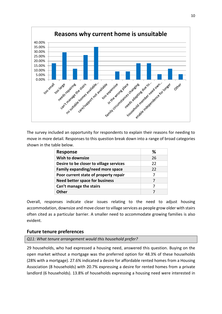

The survey included an opportunity for respondents to explain their reasons for needing to move in more detail. Responses to this question break down into a range of broad categories shown in the table below.

| <b>Response</b>                         | ℅  |
|-----------------------------------------|----|
| Wish to downsize                        | 26 |
| Desire to be closer to village services | 22 |
| Family expanding/need more space        | 22 |
| Poor current state of property repair   | 7  |
| <b>Need better space for business</b>   |    |
| Can't manage the stairs                 |    |
| ∩ther                                   |    |

Overall, responses indicate clear issues relating to the need to adjust housing accommodation, downsize and move closer to village services as people grow older with stairs often cited as a particular barrier. A smaller need to accommodate growing families is also evident.

#### **Future tenure preferences**

*Q11: What tenure arrangement would this household prefer?*

29 households, who had expressed a housing need, answered this question. Buying on the open market without a mortgage was the preferred option for 48.3% of these households (28% with a mortgage). 27.6% indicated a desire for affordable rented homes from a Housing Association (8 households) with 20.7% expressing a desire for rented homes from a private landlord (6 households). 13.8% of households expressing a housing need were interested in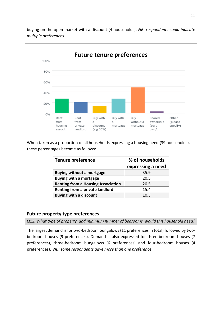

buying on the open market with a discount (4 households). *NB: respondents could indicate multiple preferences.*

When taken as a proportion of all households expressing a housing need (39 households), these percentages become as follows:

| <b>Tenure preference</b>                  | % of households   |  |  |
|-------------------------------------------|-------------------|--|--|
|                                           | expressing a need |  |  |
| <b>Buying without a mortgage</b>          | 35.9              |  |  |
| <b>Buying with a mortgage</b>             | 20.5              |  |  |
| <b>Renting from a Housing Association</b> | 20.5              |  |  |
| Renting from a private landlord           | 15.4              |  |  |
| <b>Buying with a discount</b>             | 10.3              |  |  |

#### **Future property type preferences**

*Q12: What type of property, and minimum number of bedrooms, would this household need?*

The largest demand is for two-bedroom bungalows (11 preferences in total) followed by twobedroom houses (9 preferences). Demand is also expressed for three-bedroom houses (7 preferences), three-bedroom bungalows (6 preferences) and four-bedroom houses (4 preferences). *NB: some respondents gave more than one preference*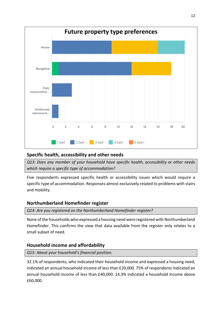

#### **Specific health, accessibility and other needs**

*Q13: Does any member of your household have specific health, accessibility or other needs which require a specific type of accommodation?*

Five respondents expressed specific health or accessibility issues which would require a specific type of accommodation. Responses almost exclusively related to problems with stairs and mobility.

#### **Northumberland Homefinder register**

*Q14: Are you registered on the Northumberland Homefinder register?*

None of the households who expressed a housing need were registered with Northumberland Homefinder. This confirms the view that data available from the register only relates to a small subset of need.

#### **Household income and affordability**

*Q15: About your household's financial position.*

32.1% of respondents, who indicated their household income and expressed a housing need, indicated an annual household income of less than £20,000. 75% of respondents indicated an annual household income of less than £40,000. 14.3% indicated a household income above £60,000.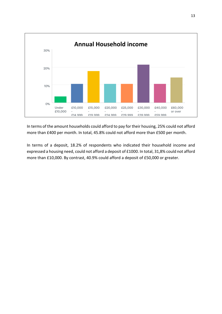

In terms of the amount households could afford to pay for their housing, 25% could not afford more than £400 per month. In total, 45.8% could not afford more than £500 per month.

In terms of a deposit, 18.2% of respondents who indicated their household income and expressed a housing need, could not afford a deposit of £1000. In total, 31,8% could not afford more than £10,000. By contrast, 40.9% could afford a deposit of £50,000 or greater.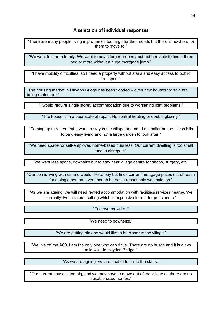#### **A selection of individual responses**

"There are many people living in properties too large for their needs but there is nowhere for them to move to."

"We want to start a family. We want to buy a larger property but not ben able to find a three bed or more without a huge mortgage jump."

"I have mobility difficulties, so I need a property without stairs and easy access to public transport."

"The housing market in Haydon Bridge has been flooded – even new houses for sale are being rented out."

"I would require single storey accommodation due to worsening joint problems."

"The house is in a poor state of repair. No central heating or double glazing."

"Coming up to retirement, I want to stay in the village and need a smaller house – less bills to pay, easy living and not a large garden to look after."

"We need space for self-employed home-based business. Our current dwelling is too small and in disrepair."

"We want less space, downsize but to stay near village centre for shops, surgery, etc."

"Our son is living with us and would like to buy but finds current mortgage prices out of reach for a single person, even though he has a reasonably well-paid job."

"As we are ageing, we will need rented accommodation with facilities/services nearby. We currently live in a rural setting which is expensive to rent for pensioners."

"Too overcrowded."

"We need to downsize."

"We are getting old and would like to be closer to the village."

"We live off the A69, I am the only one who can drive. There are no buses and it is a two mile walk to Haydon Bridge."

"As we are ageing, we are unable to climb the stairs."

"Our current house is too big, and we may have to move out of the village as there are no suitable sized homes."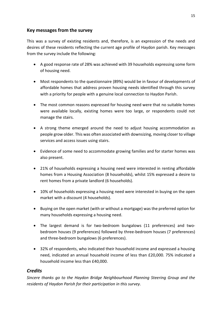#### **Key messages from the survey**

This was a survey of existing residents and, therefore, is an expression of the needs and desires of these residents reflecting the current age profile of Haydon parish. Key messages from the survey include the following:

- A good response rate of 28% was achieved with 39 households expressing some form of housing need.
- Most respondents to the questionnaire (89%) would be in favour of developments of affordable homes that address proven housing needs identified through this survey with a priority for people with a genuine local connection to Haydon Parish.
- The most common reasons expressed for housing need were that no suitable homes were available locally, existing homes were too large, or respondents could not manage the stairs.
- A strong theme emerged around the need to adjust housing accommodation as people grow older. This was often associated with downsizing, moving closer to village services and access issues using stairs.
- Evidence of some need to accommodate growing families and for starter homes was also present.
- 21% of households expressing a housing need were interested in renting affordable homes from a Housing Association (8 households), whilst 15% expressed a desire to rent homes from a private landlord (6 households).
- 10% of households expressing a housing need were interested in buying on the open market with a discount (4 households).
- Buying on the open market (with or without a mortgage) was the preferred option for many households expressing a housing need.
- The largest demand is for two-bedroom bungalows (11 preferences) and twobedroom houses (9 preferences) followed by three-bedroom houses (7 preferences) and three-bedroom bungalows (6 preferences).
- 32% of respondents, who indicated their household income and expressed a housing need, indicated an annual household income of less than £20,000. 75% indicated a household income less than £40,000.

#### *Credits*

*Sincere thanks go to the Haydon Bridge Neighbourhood Planning Steering Group and the residents of Haydon Parish for their participation in this survey.*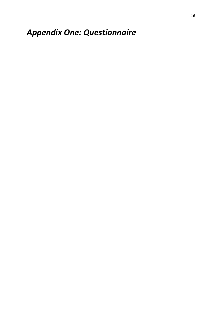# *Appendix One: Questionnaire*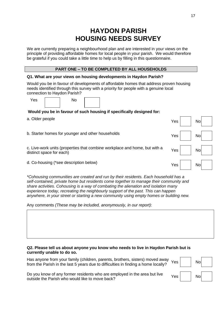# **HAYDON PARISH HOUSING NEEDS SURVEY**

We are currently preparing a neighbourhood plan and are interested in your views on the principle of providing affordable homes for local people in your parish. We would therefore be grateful if you could take a little time to help us by filling in this questionnaire.

#### **PART ONE – TO BE COMPLETED BY ALL HOUSEHOLDS**

#### **Q1. What are your views on housing developments in Haydon Parish?**

Would you be in favour of developments of affordable homes that address proven housing needs identified through this survey with a priority for people with a genuine local connection to Haydon Parish?

| Yes | No |  |
|-----|----|--|
|     |    |  |

#### **Would you be in favour of such housing if specifically designed for:**

a. Older people  $Y$ es  $\begin{array}{|c|c|c|c|c|}\hline \end{array}$  No

b. Starter homes for younger and other households Yes Yes No

c. Live-work units (properties that combine workplace and home, but with a  $Yes$  No<br>distinct space for each)

d. Co-housing (\*see description below)

*\*Cohousing communities are created and run by their residents. Each household has a self-contained, private home but residents come together to manage their community and share activities. Cohousing is a way of combating the alienation and isolation many experience today, recreating the neighbourly support of the past. This can happen anywhere, in your street or starting a new community using empty homes or building new.*

Any comments *(These may be included, anonymously, in our report)*:

#### **Q2. Please tell us about anyone you know who needs to live in Haydon Parish but is currently unable to do so.**

Has anyone from your family (children, parents, brothers, sisters) moved away from the Parish in the last 5 years due to difficulties in finding a home locally?

| Yes | <b>No</b> |  |
|-----|-----------|--|
| Yes | <b>No</b> |  |

Yes No

Do you know of any former residents who are employed in the area but live outside the Parish who would like to move back?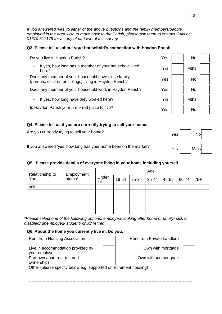*If you answered 'yes' to either of the above questions and the family members/people employed in the area wish to move back to the Parish, please ask them to contact CAN on 01670 517178 for a copy of part two of this survey.*

#### **Q3. Please tell us about your household's connection with Haydon Parish**

| Do you live in Haydon Parish?                                                                                   | Yes | No          |  |
|-----------------------------------------------------------------------------------------------------------------|-----|-------------|--|
| If yes, how long has a member of your household lived<br>-<br>here?                                             | Yrs | <b>Mths</b> |  |
| Does any member of your household have close family<br>(parents, children or siblings) living in Haydon Parish? | Yes | <b>No</b>   |  |
| Does any member of your household work in Haydon Parish?                                                        | Yes | <b>No</b>   |  |
| If yes, how long have they worked here?                                                                         | Yrs | <b>Mths</b> |  |
| Is Haydon Parish your preferred place to live?                                                                  | Yes | <b>No</b>   |  |
| a Plassa tall us if you are currently trying to sell your home                                                  |     |             |  |

#### **Q4. Please tell us if you are currently trying to sell your home.**

| Are you currently trying to sell your home?                      | $Yes \mid No \mid N$ |
|------------------------------------------------------------------|----------------------|
| If you answered 'yes' how long has your home been on the market? | $Yrs$ $Mths$         |

#### **Q5. Please provide details of everyone living in your home including yourself.**

| Relationship to |                       | Age         |       |  |                           |  |  |       |
|-----------------|-----------------------|-------------|-------|--|---------------------------|--|--|-------|
| You             | Employment<br>status* | Under<br>16 | 16-24 |  | $25-34$ 35-44 45-59 60-74 |  |  | $75+$ |
| self            |                       |             |       |  |                           |  |  |       |
|                 |                       |             |       |  |                           |  |  |       |
|                 |                       |             |       |  |                           |  |  |       |
|                 |                       |             |       |  |                           |  |  |       |
|                 |                       |             |       |  |                           |  |  |       |
|                 |                       |             |       |  |                           |  |  |       |

*\*Please select one of the following options: employed/ looking after home or family/ sick or disabled/ unemployed/ student/ child/ retired*

#### **Q6. About the home you currently live in. Do you:**

| <b>Rent from Housing Association</b>                              |  | <b>Rent from Private Landlord</b> |  |  |  |
|-------------------------------------------------------------------|--|-----------------------------------|--|--|--|
| Live in accommodation provided by<br>your employer                |  | Own with mortgage                 |  |  |  |
| Part own / part rent (shared<br>ownership)                        |  | Own without mortgage              |  |  |  |
| Other (please specify below e.g. supported or retirement housing) |  |                                   |  |  |  |

------------------------------------------------------------------------------------------------------------------------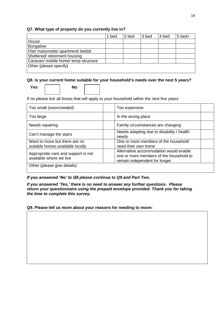#### **Q7. What type of property do you currently live in?**

|                                      | bed | 2 bed | 3 bed | 4 bed | $5$ bed+ |
|--------------------------------------|-----|-------|-------|-------|----------|
| House                                |     |       |       |       |          |
| <b>Bungalow</b>                      |     |       |       |       |          |
| Flat/ maisonette/ apartment/ bedsit  |     |       |       |       |          |
| Sheltered/retirement housing         |     |       |       |       |          |
| Caravan/ mobile home/ temp structure |     |       |       |       |          |
| Other (please specify)               |     |       |       |       |          |
|                                      |     |       |       |       |          |

#### **Q8. Is your current home suitable for your household's needs over the next 5 years?**

```
Yes No
```
If no please tick all boxes that will apply to your household within the next five years:

| Too small (overcrowded)                                           | Too expensive                                                                                                      |
|-------------------------------------------------------------------|--------------------------------------------------------------------------------------------------------------------|
| Too large                                                         | In the wrong place                                                                                                 |
| Needs repairing                                                   | Family circumstances are changing                                                                                  |
| Can't manage the stairs                                           | Needs adapting due to disability / health<br>needs                                                                 |
| Want to move but there are no<br>suitable homes available locally | One or more members of the household<br>need their own home                                                        |
| Appropriate care and support is not<br>available where we live    | Alternative accommodation would enable<br>one or more members of the household to<br>remain independent for longer |
| Other (please give details)                                       |                                                                                                                    |

#### *If you answered 'No' to Q8 please continue to Q9 and Part Two.*

*If you answered 'Yes,' there is no need to answer any further questions. Please return your questionnaire using the prepaid envelope provided. Thank you for taking the time to complete this survey.*

**Q9. Please tell us more about your reasons for needing to move:**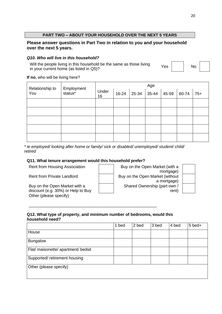#### **PART TWO – ABOUT YOUR HOUSEHOLD OVER THE NEXT 5 YEARS**

#### **Please answer questions in Part Two in relation to you and your household over the next 5 years.**

#### *Q10. Who will live in this household?*

Will the people living in this household be the same as those living in your current home (as listed in Q5)?<br>in your current home (as listed in Q5)?

**If no**, who will be living here?

| Relationship to | Employment          | Age         |       |  |               |       |       |       |
|-----------------|---------------------|-------------|-------|--|---------------|-------|-------|-------|
| You             | status <sup>*</sup> | Under<br>16 | 16-24 |  | $25-34$ 35-44 | 45-59 | 60-74 | $75+$ |
|                 |                     |             |       |  |               |       |       |       |
|                 |                     |             |       |  |               |       |       |       |
|                 |                     |             |       |  |               |       |       |       |
|                 |                     |             |       |  |               |       |       |       |
|                 |                     |             |       |  |               |       |       |       |

*\* ie employed/ looking after home or family/ sick or disabled/ unemployed/ student/ child/ retired*

#### **Q11. What tenure arrangement would this household prefer?**

Buy on the Open Market with a discount (e.g. 30%) or Help to Buy Other (please specify)

Rent from Housing Association **Buy on the Open Market (with a** mortgage) Rent from Private Landlord **Buy on the Open Market (without** a mortgage) Shared Ownership (part own / rent)

#### **Q12. What type of property, and minimum number of bedrooms, would this household need?**

\_\_\_\_\_\_\_\_\_\_\_\_\_\_\_\_\_\_\_\_\_\_\_\_\_\_\_\_\_\_\_\_\_\_\_\_\_\_\_\_\_\_\_\_\_\_\_\_\_\_\_\_\_\_\_\_

|                                     | 1 bed | 2 bed | 3 bed | 4 bed | $5$ bed+ |
|-------------------------------------|-------|-------|-------|-------|----------|
| House                               |       |       |       |       |          |
| <b>Bungalow</b>                     |       |       |       |       |          |
| Flat/ maisonette/ apartment/ bedsit |       |       |       |       |          |
| Supported/ retirement housing       |       |       |       |       |          |
| Other (please specify)              |       |       |       |       |          |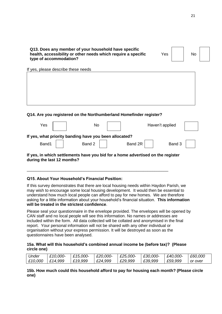| Q13. Does any member of your household have specific          |     |    |
|---------------------------------------------------------------|-----|----|
| health, accessibility or other needs which require a specific | Yes | No |
| type of accommodation?                                        |     |    |

#### **Q14. Are you registered on the Northumberland Homefinder register?**

\_\_\_\_\_\_\_\_\_\_\_\_\_\_\_\_\_\_\_\_\_\_\_\_\_\_\_\_\_\_\_\_\_\_\_\_\_\_\_\_\_\_\_\_\_\_\_\_\_\_\_\_\_\_\_\_\_\_\_\_\_\_

| Yes                        | No                                                                              |         | Haven't applied |  |
|----------------------------|---------------------------------------------------------------------------------|---------|-----------------|--|
|                            | If yes, what priority banding have you been allocated?                          |         |                 |  |
| Band1                      | Band 2                                                                          | Band 2R | Band 3          |  |
| during the last 12 months? | If yes, in which settlements have you bid for a home advertised on the register |         |                 |  |

#### **Q15. About Your Household's Financial Position:**

If yes, please describe these needs

If this survey demonstrates that there are local housing needs within Haydon Parish, we may wish to encourage some local housing development. It would then be essential to understand how much local people can afford to pay for new homes. We are therefore asking for a little information about your household's financial situation. **This information will be treated in the strictest confidence**.

Please seal your questionnaire in the envelope provided. The envelopes will be opened by CAN staff and no local people will see this information. No names or addresses are included within the form. All data collected will be collated and anonymised in the final report. Your personal information will not be shared with any other individual or organisation without your express permission. It will be destroyed as soon as the questionnaires have been analysed.

#### **15a. What will this household's combined annual income be (before tax)? (Please circle one)**

| Jnder   | £10,000- | £15,000- | £20,000- | £25,000- | £30,000- | £40,000- | £60,000 |
|---------|----------|----------|----------|----------|----------|----------|---------|
| £10,000 | £14,999  | £19,999  | £24,999  | £29,999  | £39,999  | £59,999  | or over |

#### **15b. How much could this household afford to pay for housing each month? (Please circle one)**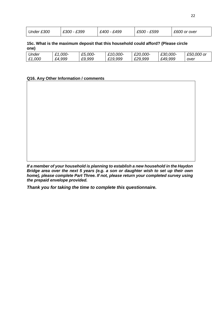| Under £300 | £399<br>£300 | £400 - £499 | - £599<br>£500 | £600 or over |
|------------|--------------|-------------|----------------|--------------|
|            |              |             |                |              |

**15c. What is the maximum deposit that this household could afford? (Please circle one)**

| <i><b>Jnder</b></i> | £1,000- | £5,000- | £10,000- | £20,000- | £30,000- | £50,000 or |
|---------------------|---------|---------|----------|----------|----------|------------|
| £1,000              | £4,999  | £9,999  | £19,999  | £29,999  | £49,999  | over       |

#### **Q16. Any Other Information / comments**

*If a member of your household is planning to establish a new household in the Haydon Bridge area over the next 5 years (e.g. a son or daughter wish to set up their own home), please complete Part Three. If not, please return your completed survey using the prepaid envelope provided.*

*Thank you for taking the time to complete this questionnaire.*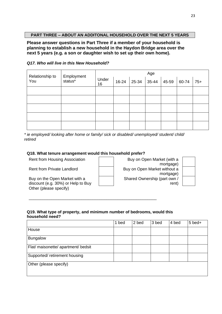#### **PART THREE – ABOUT AN ADDITONAL HOUSEHOLD OVER THE NEXT 5 YEARS**

**Please answer questions in Part Three if a member of your household is planning to establish a new household in the Haydon Bridge area over the next 5 years (e.g. a son or daughter wish to set up their own home).**

#### *Q17. Who will live in this New Household?*

| Relationship to<br>You |                       | Age         |           |                                |  |       |  |  |
|------------------------|-----------------------|-------------|-----------|--------------------------------|--|-------|--|--|
|                        | Employment<br>status* | Under<br>16 | $16 - 24$ | $ 35-44 $ 45-59 60-74<br>25-34 |  | $75+$ |  |  |
|                        |                       |             |           |                                |  |       |  |  |
|                        |                       |             |           |                                |  |       |  |  |
|                        |                       |             |           |                                |  |       |  |  |
|                        |                       |             |           |                                |  |       |  |  |
|                        |                       |             |           |                                |  |       |  |  |

*\* ie employed/ looking after home or family/ sick or disabled/ unemployed/ student/ child/ retired*

#### **Q18. What tenure arrangement would this household prefer?**

Buy on the Open Market with a discount (e.g. 30%) or Help to Buy Other (please specify)

Rent from Housing Association **Buy on Open Market (with a** mortgage) Rent from Private Landlord **Buy on Open Market without a** mortgage) Shared Ownership (part own / rent)

#### **Q19. What type of property, and minimum number of bedrooms, would this household need?**

\_\_\_\_\_\_\_\_\_\_\_\_\_\_\_\_\_\_\_\_\_\_\_\_\_\_\_\_\_\_\_\_\_\_\_\_\_\_\_\_\_\_\_\_\_\_\_\_\_\_\_\_\_\_\_\_

|                                     | 1 bed | 2 bed | 3 bed | 4 bed | $5$ bed+ |
|-------------------------------------|-------|-------|-------|-------|----------|
| House                               |       |       |       |       |          |
| <b>Bungalow</b>                     |       |       |       |       |          |
| Flat/ maisonette/ apartment/ bedsit |       |       |       |       |          |
| Supported/ retirement housing       |       |       |       |       |          |
| Other (please specify)              |       |       |       |       |          |
|                                     |       |       |       |       |          |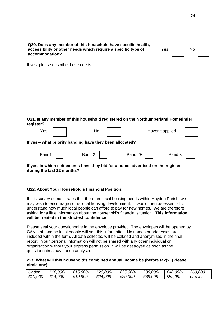**Q20. Does any member of this household have specific health, accessibility or other needs which require a specific type of accommodation?**

Yes No

If yes, please describe these needs

**Q21. Is any member of this household registered on the Northumberland Homefinder register?**

| Yes                                                                                                            |  | No                                                       |  |         |  | Haven't applied |  |
|----------------------------------------------------------------------------------------------------------------|--|----------------------------------------------------------|--|---------|--|-----------------|--|
|                                                                                                                |  | If yes - what priority banding have they been allocated? |  |         |  |                 |  |
| Band1                                                                                                          |  | Band 2 $\vert$                                           |  | Band 2R |  | Band 3          |  |
| If yes, in which settlements have they bid for a home advertised on the register<br>during the last 12 months? |  |                                                          |  |         |  |                 |  |

#### **Q22. About Your Household's Financial Position:**

If this survey demonstrates that there are local housing needs within Haydon Parish, we may wish to encourage some local housing development. It would then be essential to understand how much local people can afford to pay for new homes. We are therefore asking for a little information about the household's financial situation. **This information will be treated in the strictest confidence**.

\_\_\_\_\_\_\_\_\_\_\_\_\_\_\_\_\_\_\_\_\_\_\_\_\_\_\_\_\_\_\_\_\_\_\_\_\_\_\_\_\_\_\_\_\_\_\_\_\_\_\_\_\_\_\_\_\_\_\_\_\_\_

Please seal your questionnaire in the envelope provided. The envelopes will be opened by CAN staff and no local people will see this information. No names or addresses are included within the form. All data collected will be collated and anonymised in the final report. Your personal information will not be shared with any other individual or organisation without your express permission. It will be destroyed as soon as the questionnaires have been analysed.

#### **22a. What will this household's combined annual income be (before tax)? (Please circle one)**

| Under              | £10,000- | £15,000- | $E20,000$ - | £25,000- | £30,000- | £40,000- | £60,000 |
|--------------------|----------|----------|-------------|----------|----------|----------|---------|
| $\mathsf{E}10,000$ | £14,999  | E19.999  | £24,999     | £29,999  | £39,999  | £59,999  | or over |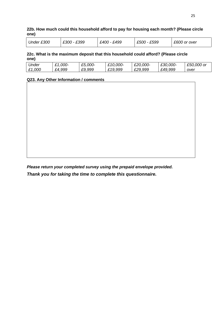**22b. How much could this household afford to pay for housing each month? (Please circle one)**

| Under £300 | £300 - £399 | £499<br>£400 - | - £599<br>£500 | £600 or over |
|------------|-------------|----------------|----------------|--------------|
|            |             |                |                |              |

**22c. What is the maximum deposit that this household could afford? (Please circle one)**

| Jnder  | £1,000- | £5,000- | £10,000- | £20,000- | £30,000- | £50,000 or |
|--------|---------|---------|----------|----------|----------|------------|
| £1,000 | £4,999  | £9,999  | £19,999  | £29,999  | £49,999  | over       |

#### **Q23. Any Other Information / comments**

*Please return your completed survey using the prepaid envelope provided. Thank you for taking the time to complete this questionnaire.*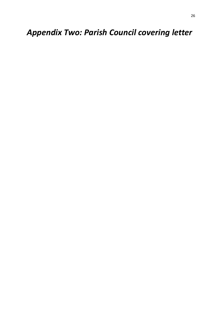*Appendix Two: Parish Council covering letter*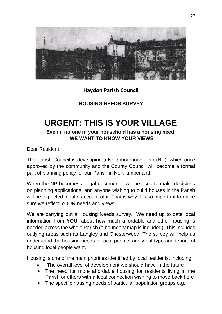

# **Haydon Parish Council**

**HOUSING NEEDS SURVEY** 

# **URGENT: THIS IS YOUR VILLAGE**

## **Even if no one in your household has a housing need, WE WANT TO KNOW YOUR VIEWS**

Dear Resident

The Parish Council is developing a Neighbourhood Plan (NP), which once approved by the community and the County Council will become a formal part of planning policy for our Parish in Northumberland.

When the NP becomes a legal document it will be used to make decisions on planning applications, and anyone wishing to build houses in the Parish will be expected to take account of it. That is why it is so important to make sure we reflect YOUR needs and views.

We are carrying out a Housing Needs survey. We need up to date local information from **YOU**, about how much affordable and other housing is needed across the whole Parish (a boundary map is included). This includes outlying areas such as Langley and Chesterwood. The survey will help us understand the housing needs of local people, and what type and tenure of housing local people want.

Housing is one of the main priorities identified by local residents, including:

- The overall level of development we should have in the future
- The need for more affordable housing for residents living in the Parish or others with a local connection wishing to move back here
- The specific housing needs of particular population groups e.g.: